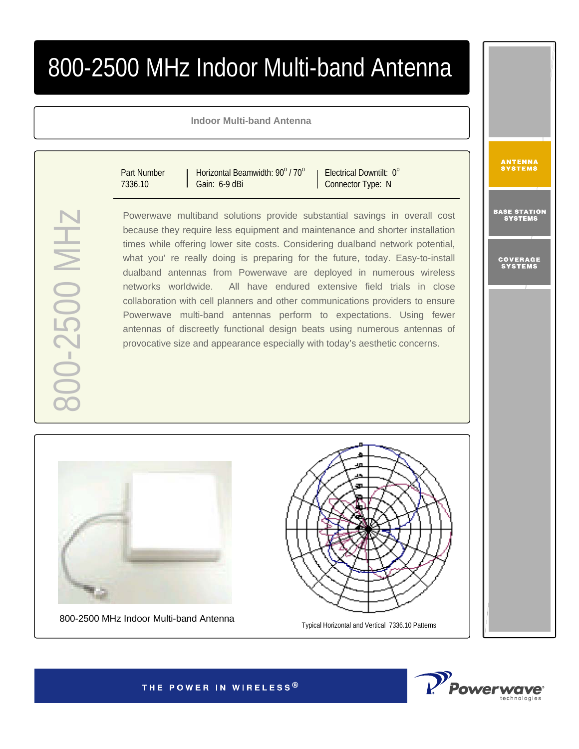## 800-2500 MHz Indoor Multi-band Antenna

**Indoor Multi-band Antenna**

Part Number 7336.10

Horizontal Beamwidth:  $90^{\circ}$  /  $70^{\circ}$ Gain: 6-9 dBi

Electrical Downtilt: 0° Connector Type: N

Powerwave multiband solutions provide substantial savings in overall cost because they require less equipment and maintenance and shorter installation times while offering lower site costs. Considering dualband network potential, what you' re really doing is preparing for the future, today. Easy-to-install dualband antennas from Powerwave are deployed in numerous wireless networks worldwide. All have endured extensive field trials in close collaboration with cell planners and other communications providers to ensure Powerwave multi-band antennas perform to expectations. Using fewer antennas of discreetly functional design beats using numerous antennas of provocative size and appearance especially with today's aesthetic concerns.



800-2500 MHz Indoor Multi-band Antenna



Typical Horizontal and Vertical 7336.10 Patterns



ANTENNA<br>Systems

BASE STA<mark>TION</mark><br>Systems

COVERAGE<br>Systems

THE POWER IN WIRELESS®